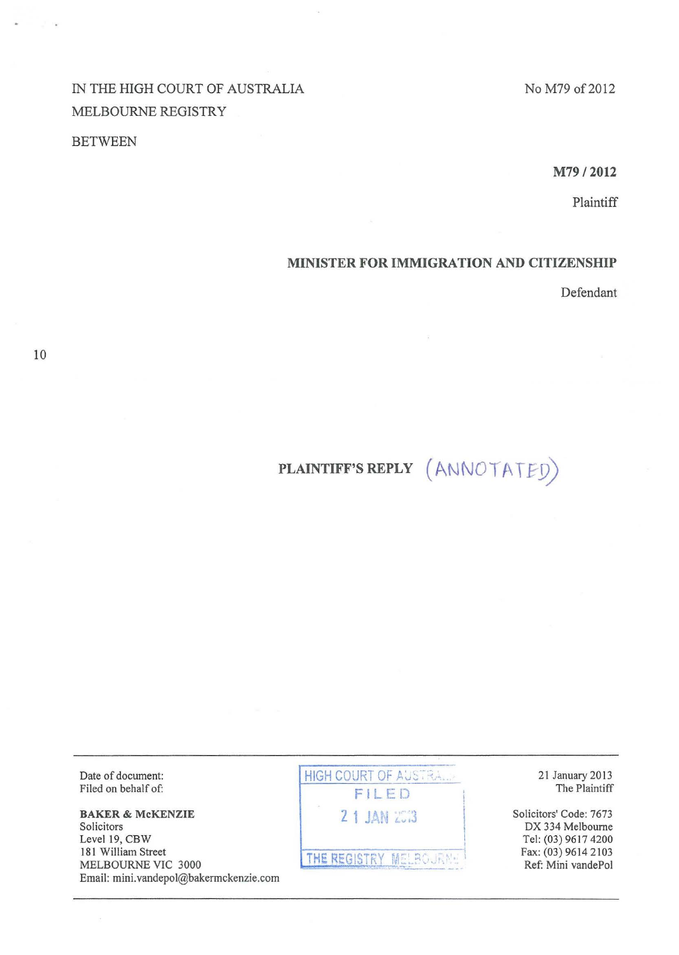IN THE HIGH COURT OF AUSTRALIA MELBOURNE REGISTRY

## **BETWEEN**

No M79 of 2012

M79 /2012

Plaintiff

## MINISTER FOR IMMIGRATION AND CITIZENSHIP

Defendant

# PLAINTIFF'S REPLY (ANNOTATED)

Date of document: Filed on behalf of:

BAKER & McKENZIE Solicitors Level 19, CBW 181 William Street MELBOURNE VIC 3000 Email: mini. vandepol@bakermckenzie.com HIGH COURT OF AUSTRALL-Fl LED 2 1 JAN 2013

THE REGISTRY MELBOURNE REGISTRY MELBOURNE

I

21 January 2013 The Plaintiff

Solicitors' Code: 7673 DX 334 Melbourne Tel: (03) 96 17 4200 Fax: (03) 9614 2103 Ref: Mini vandePol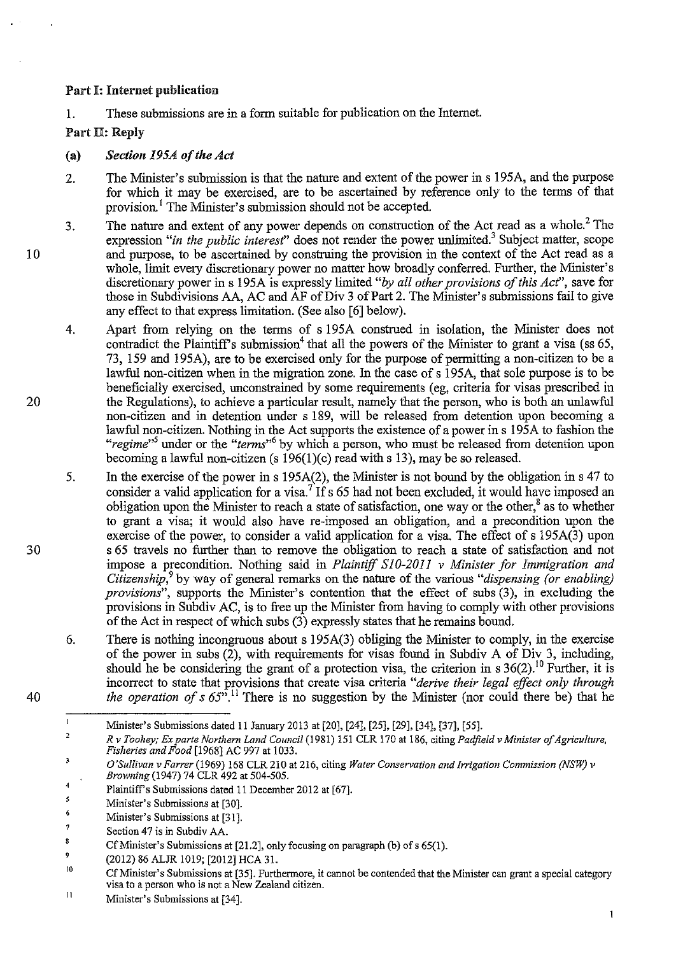## Part I: Internet publication

1. These submissions are in a form suitable for publication on the Internet.

## Part ll: Reply

10

20

30

40

 $\mathbf{I}$ 

#### (a) *Section 195A of the Act*

- 2. The Minister's submission is that the nature and extent of the power in s 195A, and the purpose for which it may be exercised, are to be ascertained by reference only to the terms of that provision.<sup>1</sup> The Minister's submission should not be accepted.
- 3. The nature and extent of any power depends on construction of the Act read as a whole.<sup>2</sup> The expression *"in the public interest'* does not render the power unlimited? Subject matter, scope and purpose, to be ascertained by construing the provision in the context of the Act read as a whole, limit every discretionary power no matter how broadly conferred. Further, the Minister's discretionary power ins 195A is expressly limited *"by all other provisions of this Act",* save for those in Subdivisions AA, AC and AF of Div 3 of Part 2. The Minister's submissions fail to give any effect to that express limitation. (See also [6] below).
- 4. Apart from relying on the terms of s 195A construed in isolation, the Minister does not contradict the Plaintiff's submission<sup>4</sup> that all the powers of the Minister to grant a visa (ss  $65$ , 73, 159 and 195A), are to be exercised only for the purpose of permitting a non-citizen to be a lawful non-citizen when in the migration zone. In the case of s 195A, that sole purpose is to be beneficially exercised, unconstrained by some requirements (eg, criteria for visas prescribed in the Regulations), to achieve a particular result, namely that the person, who is both an unlawful non-citizen and in detention under s 189, will be released from detention upon becoming a lawful non-citizen. Nothing in the Act supports the existence of a power ins 195A to fashion the *"regime"<sup>5</sup>*under or the *"terms"<sup>6</sup>*by which a person, who must be released from detention upon becoming a lawful non-citizen (s  $196(1)(c)$  read with s 13), may be so released.
- 5. In the exercise of the power in s 195A(2), the Minister is not bound by the obligation in s 47 to consider a valid application for a visa.<sup>7</sup> If s 65 had not been excluded, it would have imposed an obligation upon the Minister to reach a state of satisfaction, one way or the other,<sup>8</sup> as to whether to grant a visa; it would also have re-imposed an obligation, and a precondition upon the exercise of the power, to consider a valid application for a visa. The effect of s 195A(3) upon s 65 travels no further than to remove the obligation to reach a state of satisfaction and not impose a precondition. Nothing said in *Plaintiff SJ0-2011 v Minister for Immigration and Citizenship,*<sup>9</sup>by way of general remarks on the nature of the various *"dispensing (or enabling) provisions",* supports the Minister's contention that the effect of subs (3), in excluding the provisions in Subdiv AC, is to free up the Minister from having to comply with other provisions of the Act in respect of which subs (3) expressly states that he remains bound.
- 6. There is nothing incongruous about s 195A(3) obliging the Minister to comply, in the exercise of the power in subs (2), with requirements for visas found in Subdiv A of Div 3, including, should he be considering the grant of a protection visa, the criterion in s  $36(2)$ .<sup>10</sup> Further, it is incorrect to state that provisions that create visa criteria *"derive their legal effect only through the operation of s 65".*<sup>11</sup> There is no suggestion by the Minister (nor could there be) that he

Mmister's Submissions dated 11 January 2013 at [20], [24], [25], [29], [34], [37], [55].

 $\overline{2}$ *R v Toohey; Ex parte Northern Land Council* (1981) 151 CLR 170 at 186, citing *Padfield v Minister of Agriculture, Fisheries and Food* [1968] AC 997 at 1033.

 $\overline{\mathbf{3}}$ *O'Sullivan v Farrer* (1969) 168 CLR 210 at 216, citing *Water Conservation and Irrigation Commission (NSW) v Browning* (1947) 74 CLR 492 at 504-505.

<sup>4</sup>  Plaintiff's Submissions dated 11 December 2012 at [67].

<sup>\$</sup> Minister's Submissions at [30].

 $6\phantom{1}$ Minister's Submissions at [31].

 $\overline{7}$ Section 47 is in Subdiv AA.

 $\mathbf{g}$ Cf Minister's Submissions at [21.2], only focusing on paragraph (b) of s 65(1).

 $\mathfrak{g}$ (2012) 86 ALJR 1019; [2012] HCA 31.

<sup>10</sup>  Cf Minister's Submissions at [35]. Furthermore, it cannot be contended that the Minister can grant a special category **visa to a person who is not a New Zealand citizen.** 

II Minister's Submissions at [34].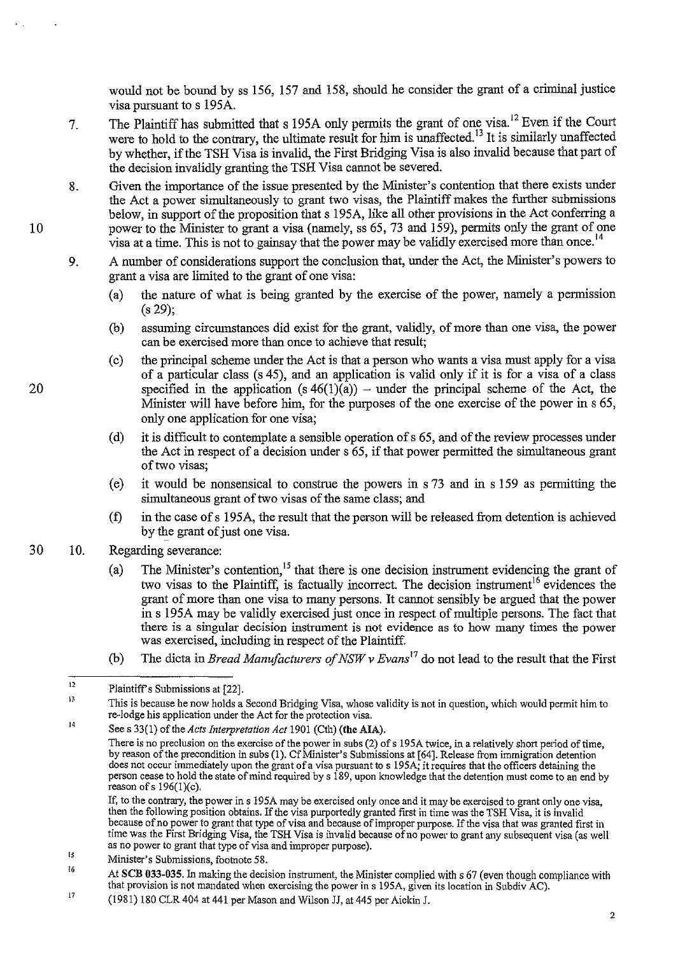would not be bound by ss 156, 157 and 158, should he consider the grant of a criminal justice visa pursuant to s 195A.

- 7. The Plaintiff has submitted that s 195A only permits the grant of one visa.<sup>12</sup> Even if the Court were to hold to the contrary, the ultimate result for him is unaffected.<sup>13</sup> It is similarly unaffected by whether, if the TSH Visa is invalid, the First Bridging Visa is also invalid because that part of the decision invalidly granting the TSH Visa cannot be severed.
- 8. Given the importance of the issue presented by the Minister's contention that there exists under the Act a power simultaneously to grant two visas, the Plaintiff makes the further submissions below, in support of the proposition that s 195A, like all other provisions in the Act conferring a power to the Minister to grant a visa (namely, ss 65, 73 and 159), permits only the grant of one visa at a time. This is not to gainsay that the power may be validly exercised more than once.<sup>14</sup>
- 9. A number of considerations support the conclusion that, under the Act, the Minister's powers to grant a visa are limited to the grant of one visa:
	- (a) the nature of what is being granted by the exercise of the power, namely a permission (s 29);
	- (b) assuming circumstances did exist for the grant, validly, of more than one visa, the power can be exercised more than once to achieve that result;
	- (c) the principal scheme under the Act is that a person who wants a visa must apply for a visa of a particular class ( s 45), and an application is valid only if it is for a visa of a class specified in the application  $(s 46(1)(a))$  – under the principal scheme of the Act, the Minister will have before him, for the purposes of the one exercise of the power in s 65, only one application for one visa;
	- (d) it is difficult to contemplate a sensible operation of s 65, and of the review processes under the Act in respect of a decision under s 65, if that power permitted the simultaneous grant of two visas;
	- (e) it would be nonsensical to construe the powers in s 73 and in s 159 as permitting the simultaneous grant of two visas of the same class; and
	- (f) in the case of s 195A, the result that the person will be released from detention is achieved by the grant of just one visa.
- 30 10. Regarding severance:

10

20

- (a) The Minister's contention,  $15$  that there is one decision instrument evidencing the grant of two visas to the Plaintiff, is factually incorrect. The decision instrument<sup>16</sup> evidences the grant of more than one visa to many persons. It cannot sensibly be argued that the power in s 195A may be validly exercised just once in respect of multiple persons. The fact that there is a singular decision instrument is not evidence as to how many times the power was exercised, including in respect of the Plaintiff.
- (b) The dicta in *Bread Manufacturers of NSW v Evans*<sup>17</sup>do not lead to the result that the First

" 16 **Minister's Submissions, footnote 58.** 

<sup>12</sup>  Plaintiff's Submissions at [22].

<sup>13</sup> This is because he now holds a Second Bridging Visa, whose validity is not in question, which would permit him to re-lodge his application under the Act for the protection visa.

<sup>14</sup>  Sees 33(1) of the *Acts Interpretation Act* 1901 (Cth) (the AIA).

**There is no preclusion on the exercise of the power in subs (2) ofs 195A twice, in a relatively short period of time,**  by reason of the precondition in subs (1). Cf Minister's Submissions at [64]. Release from immigration detention **does not occur immediately upon the grant of a visa pursuant to s 195A; it requires that the officers detaining the**  person cease to hold the state of mind required by s 189, upon knowledge that the detention must come to an end by reason ofs 196(l)(c).

If, **to the contrary, the power ins 195A may be exercised only once and it may be exercised to grant only one visa,**  then the following position obtains. If the visa purportedly granted first in time was the TSH Visa, it is invalid because of no power to grant that type of visa and because of improper purpose.1fthe visa that was granted first in time was the First Bridging Visa, the TSH Visa is invalid because of no power to grant any subsequent visa (as well as no power to grant that type of visa and improper purpose).

At SCB 033-035. In making the decision instrument, the Minister complied with s 67 (even though compliance with **that provision is not mandated when exercising the power ins 195A, given its location in Subdiv AC).** 

<sup>17</sup>  (1981) 180 CLR 404 at 441 per Mason and Wilson JJ, at 445 per Aickin J.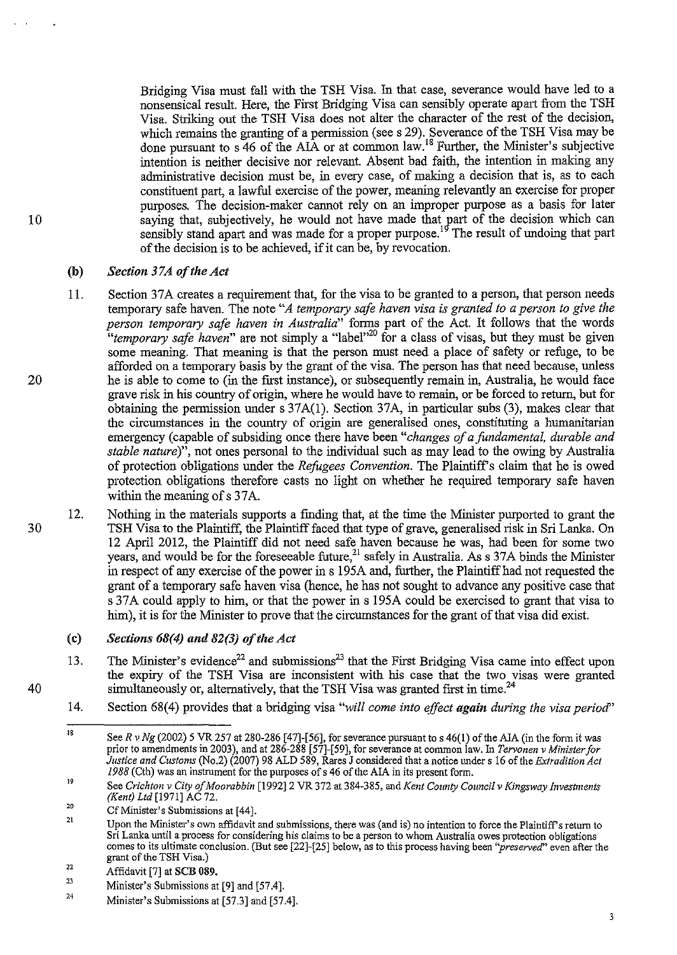Bridging Visa must fall with the TSH Visa. In that case, severance would have led to a nonsensical result. Here, the First Bridging Visa can sensibly operate apart from the TSH Visa. Striking out the TSH Visa does not alter the character of the rest of the decision, which remains the granting of a permission (sees 29). Severance of the TSH Visa may be done pursuant to s 46 of the AlA or at common law. 18 Further, the Minister's subjective intention is neither decisive nor relevant. Absent bad faith, the intention in making any administrative decision must be, in every case, of making a decision that is, as to each constituent part, a lawful exercise of the power, meaning relevantly an exercise for proper purposes. The decision-maker cannot rely on an improper purpose as a basis for later saying that, subjectively, he would not have made that part of the decision which can sensibly stand apart and was made for a proper purpose.<sup>19</sup> The result of undoing that part of the decision is to be achieved, if it can be, by revocation.

#### (b) *Section 3* 7 *A of the Act*

- 11. Section 37A creates a requirement that, for the visa to be granted to a person, that person needs temporary safe haven. The note *"A temporary safe haven visa is granted to a person to give the person temporary safe haven in Australia"* forms part of the Act. It follows that the words *"temporary safe haven"* are not simply a "label"20 for a class of visas, but they must be given some meaning. That meaning is that the person must need a place of safety or refuge, to be afforded on a temporary basis by the grant of the visa. The person has that need because, uuless he is able to come to (in the first instance), or subsequently remain in, Australia, he would face grave risk in his country of origin, where he would have to remain, or be forced to return, but for obtaining the permission under s 37A(l). Section 37A, in particular subs (3), makes clear that the circumstances in the country of origin are generalised ones, constituting a humanitarian emergency (capable of subsiding once there have been *"changes of a fundamental, durable and stable nature*)", not ones personal to the individual such as may lead to the owing by Australia of protection obligations under the *Refugees Convention*. The Plaintiff's claim that he is owed protection obligations therefore casts no light on whether he required temporary safe haven within the meaning of s 37A.
- 12. Nothing in the materials supports a finding that, at the time the Minister purported to grant the TSH Visa to the Plaintiff, the Plaintiff faced that type of grave, generalised risk in Sri Lanka. On 12 April 2012, the Plaintiff did not need safe haven because he was, had been for some two years, and would be for the foreseeable future,  $21$  safely in Australia. As s 37A binds the Minister in respect of any exercise of the power ins 195A and, further, the Plaintiff had not requested the grant of a temporary safe haven visa (hence, he has not sought to advance any positive case that s 37A could apply to him, or that the power in s 195A could be exercised to grant that visa to him), it is for the Minister to prove that the circumstances for the grant of that visa did exist.

## (c) *Sections 68(4) and 82(3) of the Act*

- 13. The Minister's evidence<sup>22</sup> and submissions<sup>23</sup> that the First Bridging Visa came into effect upon the expiry of the TSH Visa are inconsistent with his case that the two visas were granted simultaneously or, alternatively, that the TSH Visa was granted first in time.<sup>24</sup>
- 14. Section 68(4) provides that a bridging visa "will come into effect again during the visa period"

20

10

30

<sup>18</sup>  See R v Ng (2002) 5 VR 257 at 280-286 [47]-[56], for severance pursuant to s 46(1) of the AIA (in the form it was prior to amendments in 2003), and at 286-288 [57]-[ 59], for severance at common law. In *Tervonen v Minister for Justice and Customs* (No.2) (2007) 98 ALD 589, Rares J considered that a notice tmder s 16 of the *Extradition Act I 988* (Cth) was an instrument for the purposes of s 46 of the AlA in its present form.

<sup>19</sup>  See *Crichton v City of Moorabbin* [1992]2 VR 372 at 384-385, and *Kent County Council v Kingsway Investments (Kent) Ltd* [1971] AC 72.

<sup>20</sup>  CfMinister's Submissions at [44].

<sup>21</sup>  Upon the Minister's own affidavit and submissions, there was (and is) no intention to force the Plaintiff's return to Sri Lanka until a process for considering his claims to be a person to whom Australia owes protection ob comes to its ultimate conclusion. (But see [22]-[25] below, as to this process having been "preserved" even after the grant of the TSH Visa.)

<sup>22</sup>  Affidavit [7] at SCB 089.

 $23$ Minister's Submissions at [9] and [57.4].

<sup>24</sup>  Minister's Submissions at [57.3] and [57.4].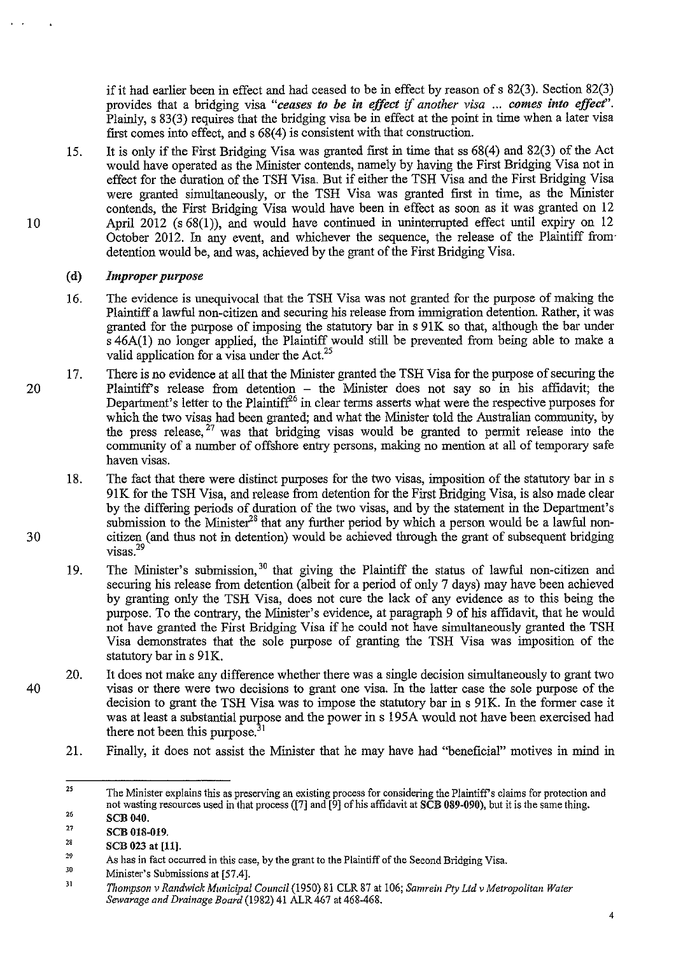if it had earlier been in effect and had ceased to be in effect by reason of s 82(3). Section 82(3) provides that a bridging visa "ceases to be in effect if another visa ... comes into effect". Plainly, s 83(3) requires that the bridging visa be in effect at the point in time when a later visa first comes into effect, and s 68(4) is consistent with that construction.

15. It is only if the First Bridging Visa was granted first in time that ss 68(4) and 82(3) of the Act would have operated as the Minister contends, namely by having the First Bridging Visa not in effect for the duration of the TSH Visa. But if either the TSH Visa and the First Bridging Visa were granted simultaneously, or the TSH Visa was granted first in time, as the Minister contends, the First Bridging Visa would have been in effect as soon as it was granted on 12 April 2012 (s 68(1)), and would have continued in uninterrupted effect until expiry on 12 October 2012. In any event, and whichever the sequence, the release of the Plaintiff from· detention would be, and was, achieved by the grant of the First Bridging Visa.

#### (d) *Improper purpose*

- 16. The evidence is unequivocal that the TSH Visa was not granted for the purpose of making the Plaintiff a lawful non-citizen and securing his release from immigration detention. Rather, it was granted for the purpose of imposing the statutory bar in s 91K so that, although the bar under s 46A(l) no longer applied, the Plaintiff would still be prevented from being able to make a valid application for a visa under the Act.<sup>25</sup>
- 20 17. There is no evidence at all that the Minister granted the TSH Visa for the purpose of seeming the Plaintiff's release from detention – the Minister does not say so in his affidavit; the Department's letter to the Plaintiff<sup>26</sup> in clear terms asserts what were the respective purposes for which the two visas had been granted; and what the Minister told the Australian community, by the press release,  $27$  was that bridging visas would be granted to permit release into the community of a number of offshore entry persons, making no mention at all of temporary safe haven visas.
	- 18. The fact that there were distinct purposes for the two visas, imposition of the statutory bar in s 91K for the TSH Visa, and release from detention for the First Bridging Visa, is also made clear by the differing periods of duration of the two visas, and by the statement in the Department's submission to the Minister<sup>28</sup> that any further period by which a person would be a lawful noncitizen (and thus not in detention) would be achieved through the grant of subsequent bridging visas<sup>29</sup>
	- 19. The Minister's submission,<sup>30</sup> that giving the Plaintiff the status of lawful non-citizen and securing his release from detention (albeit for a period of only 7 days) may have been achieved by granting only the TSH Visa, does not cure the lack of any evidence as to this being the purpose. To the contrary, the Minister's evidence, at paragraph 9 of his affidavit, that he would not have granted the First Bridging Visa if he could not have simultaneously granted the TSH Visa demonstrates that the sole purpose of granting the TSH Visa was imposition of the statutory bar in s 91K.
	- 20. It does not make any difference whether there was a single decision simultaneously to grant two visas or there were two decisions to grant one visa. In the latter case the sole purpose of the decision to grant the TSH Visa was to impose the statutory bar in s 91K. In the former case it was at least a substantial purpose and the power in s 195A would not have been exercised had there not been this purpose.<sup>31</sup>
		- 21. Finally, it does not assist the Minister that he may have had "beneficial" motives in mind in

<sup>25</sup>  26 The Minister explains this as preserving an existing process for considering the Plaintiff's claims for protection and not wasting resources used in that process ([7] and [9] of his affidavit at SCB 089-090), but it is the same thing.

<sup>27</sup>  SCB 040.

SCB 018-019.

<sup>28</sup>  SCB 023 at [11].

<sup>&</sup>quot; 30 *As* **has in fact occurred in this case, by the grant to the Plaintiff of the Second Bridging Visa.** 

Minister's Submissions at [57.4].

<sup>31</sup>  *Thompson v Randwick Municipal Council* (1950) 81 CLR 87 at 106; *Samrein Pty Ltd v Metropolitan Water Sewarage and Drainage Board* (1982) 41 ALR 467 at 468-468.